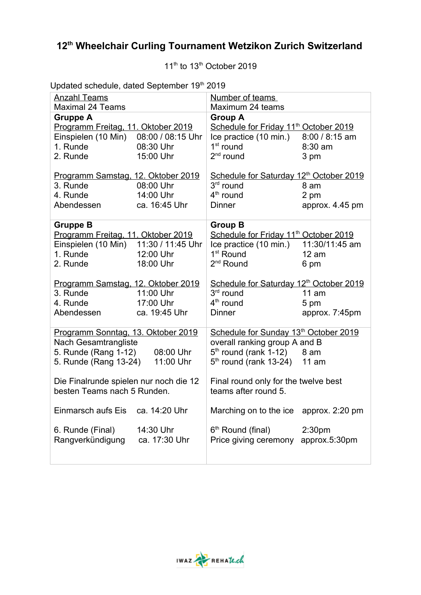## **12th Wheelchair Curling Tournament Wetzikon Zurich Switzerland**

 $11<sup>th</sup>$  to  $13<sup>th</sup>$  October 2019

Updated schedule, dated September 19<sup>th</sup> 2019

| <b>Anzahl Teams</b><br><b>Maximal 24 Teams</b> |                   | Number of teams<br>Maximum 24 teams                 |                    |
|------------------------------------------------|-------------------|-----------------------------------------------------|--------------------|
| <b>Gruppe A</b>                                |                   | <b>Group A</b>                                      |                    |
| Programm Freitag, 11. Oktober 2019             |                   | Schedule for Friday 11 <sup>th</sup> October 2019   |                    |
| Einspielen (10 Min)                            | 08:00 / 08:15 Uhr | Ice practice (10 min.)                              | 8:00 / 8:15 am     |
| 1. Runde                                       | 08:30 Uhr         | $1st$ round                                         | 8:30 am            |
| 2. Runde                                       | 15:00 Uhr         | $2nd$ round                                         | 3 pm               |
|                                                |                   |                                                     |                    |
| Programm Samstag, 12. Oktober 2019             |                   | Schedule for Saturday 12 <sup>th</sup> October 2019 |                    |
| 3. Runde                                       | 08:00 Uhr         | $3rd$ round                                         | 8 am               |
| 4. Runde                                       | 14:00 Uhr         | 4 <sup>th</sup> round                               | 2 pm               |
| Abendessen                                     | ca. 16:45 Uhr     | <b>Dinner</b>                                       | approx. 4.45 pm    |
| <b>Gruppe B</b>                                |                   | <b>Group B</b>                                      |                    |
| Programm Freitag, 11. Oktober 2019             |                   | Schedule for Friday 11 <sup>th</sup> October 2019   |                    |
| Einspielen (10 Min)                            | 11:30 / 11:45 Uhr | Ice practice (10 min.)                              | 11:30/11:45 am     |
| 1. Runde                                       | 12:00 Uhr         | 1 <sup>st</sup> Round                               | 12 am              |
| 2. Runde                                       | 18:00 Uhr         | 2 <sup>nd</sup> Round                               | 6 pm               |
| Programm Samstag, 12. Oktober 2019             |                   | Schedule for Saturday 12 <sup>th</sup> October 2019 |                    |
| 3. Runde                                       | 11:00 Uhr         | 3 <sup>rd</sup> round                               | 11 am              |
| 4. Runde                                       | 17:00 Uhr         | $4th$ round                                         | 5 pm               |
| Abendessen                                     | ca. 19:45 Uhr     | <b>Dinner</b>                                       | approx. 7:45pm     |
|                                                |                   |                                                     |                    |
| Programm Sonntag, 13. Oktober 2019             |                   | Schedule for Sunday 13 <sup>th</sup> October 2019   |                    |
| Nach Gesamtrangliste                           |                   | overall ranking group A and B                       |                    |
| 5. Runde (Rang 1-12)                           | 08:00 Uhr         | $5th$ round (rank 1-12) $8$ am                      |                    |
| 5. Runde (Rang 13-24)                          | 11:00 Uhr         | $5th$ round (rank 13-24) 11 am                      |                    |
| Die Finalrunde spielen nur noch die 12         |                   | Final round only for the twelve best                |                    |
| besten Teams nach 5 Runden.                    |                   | teams after round 5.                                |                    |
|                                                |                   |                                                     |                    |
| <b>Einmarsch aufs Eis</b>                      | ca. 14:20 Uhr     | Marching on to the ice                              | approx. 2:20 pm    |
| 6. Runde (Final)                               | 14:30 Uhr         | 6 <sup>th</sup> Round (final)                       | 2:30 <sub>pm</sub> |
| Rangverkündigung                               | ca. 17:30 Uhr     | Price giving ceremony                               | approx.5:30pm      |
|                                                |                   |                                                     |                    |
|                                                |                   |                                                     |                    |